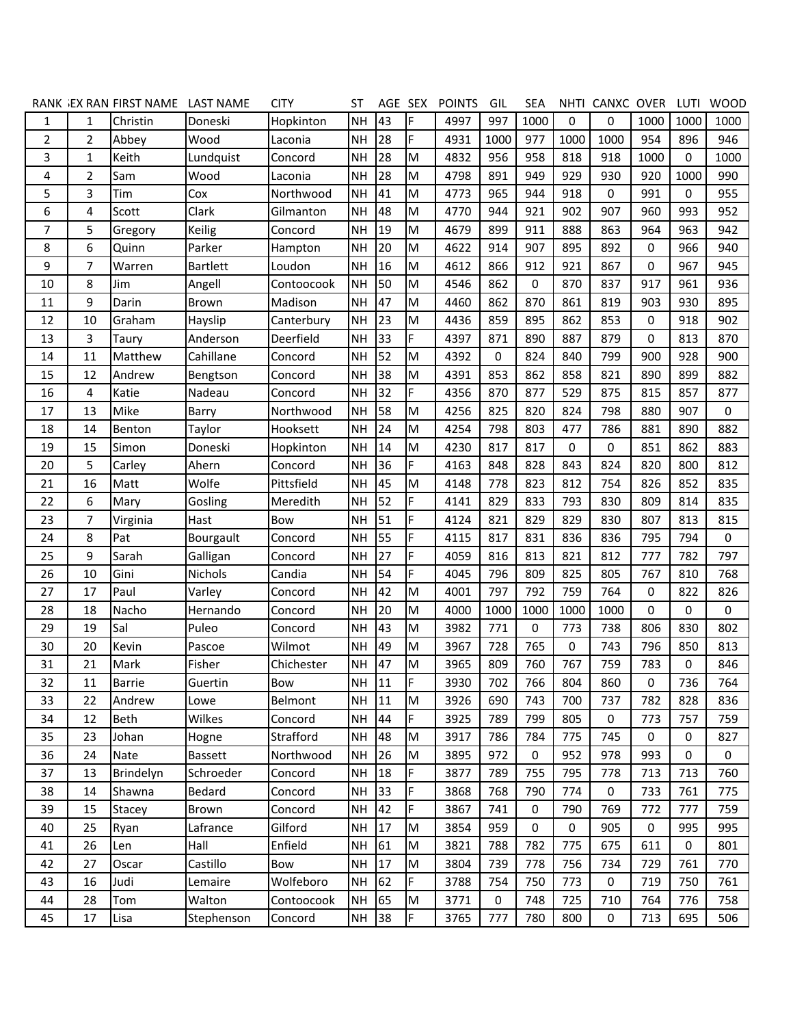|                |    | RANK JEX RAN FIRST NAME LAST NAME |                 | <b>CITY</b> | ST        | AGE SEX |           | <b>POINTS</b> | GIL  | <b>SEA</b>  |           | NHTI CANXC OVER |             | LUTI | <b>WOOD</b> |
|----------------|----|-----------------------------------|-----------------|-------------|-----------|---------|-----------|---------------|------|-------------|-----------|-----------------|-------------|------|-------------|
| 1              | 1  | Christin                          | Doneski         | Hopkinton   | <b>NH</b> | 43      | F         | 4997          | 997  | 1000        | 0         | 0               | 1000        | 1000 | 1000        |
| $\overline{2}$ | 2  | Abbey                             | Wood            | Laconia     | <b>NH</b> | 28      | F         | 4931          | 1000 | 977         | 1000      | 1000            | 954         | 896  | 946         |
| 3              | 1  | Keith                             | Lundquist       | Concord     | <b>NH</b> | 28      | M         | 4832          | 956  | 958         | 818       | 918             | 1000        | 0    | 1000        |
| 4              | 2  | Sam                               | Wood            | Laconia     | <b>NH</b> | 28      | M         | 4798          | 891  | 949         | 929       | 930             | 920         | 1000 | 990         |
| 5              | 3  | Tim                               | Cox             | Northwood   | <b>NH</b> | 41      | M         | 4773          | 965  | 944         | 918       | 0               | 991         | 0    | 955         |
| 6              | 4  | Scott                             | Clark           | Gilmanton   | <b>NH</b> | 48      | M         | 4770          | 944  | 921         | 902       | 907             | 960         | 993  | 952         |
| $\overline{7}$ | 5  | Gregory                           | <b>Keilig</b>   | Concord     | <b>NH</b> | 19      | M         | 4679          | 899  | 911         | 888       | 863             | 964         | 963  | 942         |
| 8              | 6  | Quinn                             | Parker          | Hampton     | <b>NH</b> | 20      | M         | 4622          | 914  | 907         | 895       | 892             | 0           | 966  | 940         |
| 9              | 7  | Warren                            | <b>Bartlett</b> | Loudon      | <b>NH</b> | 16      | M         | 4612          | 866  | 912         | 921       | 867             | 0           | 967  | 945         |
| 10             | 8  | Jim                               | Angell          | Contoocook  | <b>NH</b> | 50      | M         | 4546          | 862  | 0           | 870       | 837             | 917         | 961  | 936         |
| 11             | 9  | Darin                             | Brown           | Madison     | <b>NH</b> | 47      | M         | 4460          | 862  | 870         | 861       | 819             | 903         | 930  | 895         |
| 12             | 10 | Graham                            | Hayslip         | Canterbury  | <b>NH</b> | 23      | M         | 4436          | 859  | 895         | 862       | 853             | $\mathbf 0$ | 918  | 902         |
| 13             | 3  | Taury                             | Anderson        | Deerfield   | <b>NH</b> | 33      | F         | 4397          | 871  | 890         | 887       | 879             | 0           | 813  | 870         |
| 14             | 11 | Matthew                           | Cahillane       | Concord     | <b>NH</b> | 52      | M         | 4392          | 0    | 824         | 840       | 799             | 900         | 928  | 900         |
| 15             | 12 | Andrew                            | Bengtson        | Concord     | <b>NH</b> | 38      | M         | 4391          | 853  | 862         | 858       | 821             | 890         | 899  | 882         |
| 16             | 4  | Katie                             | Nadeau          | Concord     | <b>NH</b> | 32      | F         | 4356          | 870  | 877         | 529       | 875             | 815         | 857  | 877         |
| 17             | 13 | Mike                              | Barry           | Northwood   | <b>NH</b> | 58      | M         | 4256          | 825  | 820         | 824       | 798             | 880         | 907  | 0           |
| 18             | 14 | Benton                            | Taylor          | Hooksett    | <b>NH</b> | 24      | M         | 4254          | 798  | 803         | 477       | 786             | 881         | 890  | 882         |
| 19             | 15 | Simon                             | Doneski         | Hopkinton   | <b>NH</b> | 14      | M         | 4230          | 817  | 817         | 0         | 0               | 851         | 862  | 883         |
| 20             | 5  | Carley                            | Ahern           | Concord     | <b>NH</b> | 36      | F         | 4163          | 848  | 828         | 843       | 824             | 820         | 800  | 812         |
| 21             | 16 | Matt                              | Wolfe           | Pittsfield  | <b>NH</b> | 45      | M         | 4148          | 778  | 823         | 812       | 754             | 826         | 852  | 835         |
| 22             | 6  | Mary                              | Gosling         | Meredith    | <b>NH</b> | 52      | F         | 4141          | 829  | 833         | 793       | 830             | 809         | 814  | 835         |
| 23             | 7  | Virginia                          | Hast            | Bow         | <b>NH</b> | 51      | F         | 4124          | 821  | 829         | 829       | 830             | 807         | 813  | 815         |
| 24             | 8  | Pat                               | Bourgault       | Concord     | <b>NH</b> | 55      | F         | 4115          | 817  | 831         | 836       | 836             | 795         | 794  | $\mathbf 0$ |
| 25             | 9  | Sarah                             | Galligan        | Concord     | <b>NH</b> | 27      | F         | 4059          | 816  | 813         | 821       | 812             | 777         | 782  | 797         |
| 26             | 10 | Gini                              | Nichols         | Candia      | <b>NH</b> | 54      | F         | 4045          | 796  | 809         | 825       | 805             | 767         | 810  | 768         |
| 27             | 17 | Paul                              | Varley          | Concord     | <b>NH</b> | 42      | M         | 4001          | 797  | 792         | 759       | 764             | $\mathbf 0$ | 822  | 826         |
| 28             | 18 | Nacho                             | Hernando        | Concord     | <b>NH</b> | 20      | M         | 4000          | 1000 | 1000        | 1000      | 1000            | 0           | 0    | 0           |
| 29             | 19 | Sal                               | Puleo           | Concord     | <b>NH</b> | 43      | M         | 3982          | 771  | 0           | 773       | 738             | 806         | 830  | 802         |
| 30             | 20 | Kevin                             | Pascoe          | Wilmot      | <b>NH</b> | 49      | M         | 3967          | 728  | 765         | 0         | 743             | 796         | 850  | 813         |
| 31             | 21 | Mark                              | Fisher          | Chichester  | <b>NH</b> | 47      | M         | 3965          | 809  | 760         | 767       | 759             | 783         | 0    | 846         |
| 32             | 11 | <b>Barrie</b>                     | Guertin         | Bow         | NH        | 11      | ١F        | 3930          | 702  | 766         | 804       | 860             | 0           | 736  | 764         |
| 33             | 22 | Andrew                            | Lowe            | Belmont     | <b>NH</b> | 11      | M         | 3926          | 690  | 743         | 700       | 737             | 782         | 828  | 836         |
| 34             | 12 | Beth                              | Wilkes          | Concord     | <b>NH</b> | 44      | F         | 3925          | 789  | 799         | 805       | 0               | 773         | 757  | 759         |
| 35             | 23 | Johan                             | Hogne           | Strafford   | <b>NH</b> | 48      | ${\sf M}$ | 3917          | 786  | 784         | 775       | 745             | 0           | 0    | 827         |
| 36             | 24 | Nate                              | <b>Bassett</b>  | Northwood   | NH        | 26      | M         | 3895          | 972  | 0           | 952       | 978             | 993         | 0    | 0           |
| 37             | 13 | Brindelyn                         | Schroeder       | Concord     | <b>NH</b> | 18      | F         | 3877          | 789  | 755         | 795       | 778             | 713         | 713  | 760         |
| 38             | 14 | Shawna                            | Bedard          | Concord     | <b>NH</b> | 33      | F         | 3868          | 768  | 790         | 774       | 0               | 733         | 761  | 775         |
| 39             | 15 | Stacey                            | Brown           | Concord     | <b>NH</b> | 42      | F         | 3867          | 741  | $\mathbf 0$ | 790       | 769             | 772         | 777  | 759         |
| 40             | 25 | Ryan                              | Lafrance        | Gilford     | <b>NH</b> | 17      | M         | 3854          | 959  | $\mathbf 0$ | $\pmb{0}$ | 905             | $\mathbf 0$ | 995  | 995         |
| 41             | 26 | Len                               | Hall            | Enfield     | <b>NH</b> | 61      | ${\sf M}$ | 3821          | 788  | 782         | 775       | 675             | 611         | 0    | 801         |
| 42             | 27 | Oscar                             | Castillo        | Bow         | <b>NH</b> | 17      | M         | 3804          | 739  | 778         | 756       | 734             | 729         | 761  | 770         |
| 43             | 16 | Judi                              | Lemaire         | Wolfeboro   | <b>NH</b> | 62      | F         | 3788          | 754  | 750         | 773       | 0               | 719         | 750  | 761         |
| 44             | 28 | Tom                               | Walton          | Contoocook  | <b>NH</b> | 65      | ${\sf M}$ | 3771          | 0    | 748         | 725       | 710             | 764         | 776  | 758         |
| 45             | 17 | Lisa                              | Stephenson      | Concord     | <b>NH</b> | 38      | F         | 3765          | 777  | 780         | 800       | 0               | 713         | 695  | 506         |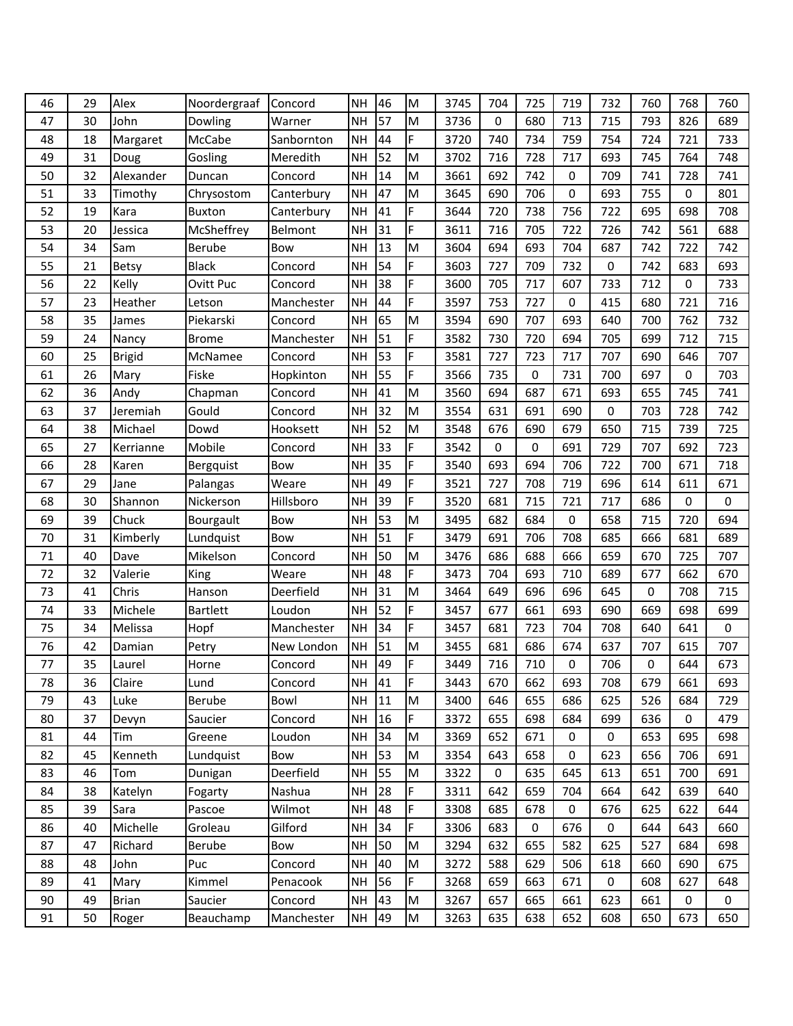| 46 | 29 | Alex          | Noordergraaf    | Concord    | <b>NH</b> | 46 | M                                                                                     | 3745 | 704 | 725              | 719 | 732       | 760         | 768 | 760         |
|----|----|---------------|-----------------|------------|-----------|----|---------------------------------------------------------------------------------------|------|-----|------------------|-----|-----------|-------------|-----|-------------|
| 47 | 30 | John          | Dowling         | Warner     | <b>NH</b> | 57 | M                                                                                     | 3736 | 0   | 680              | 713 | 715       | 793         | 826 | 689         |
| 48 | 18 | Margaret      | McCabe          | Sanbornton | <b>NH</b> | 44 | F                                                                                     | 3720 | 740 | 734              | 759 | 754       | 724         | 721 | 733         |
| 49 | 31 | Doug          | Gosling         | Meredith   | <b>NH</b> | 52 | M                                                                                     | 3702 | 716 | 728              | 717 | 693       | 745         | 764 | 748         |
| 50 | 32 | Alexander     | Duncan          | Concord    | <b>NH</b> | 14 | M                                                                                     | 3661 | 692 | 742              | 0   | 709       | 741         | 728 | 741         |
| 51 | 33 | Timothy       | Chrysostom      | Canterbury | <b>NH</b> | 47 | M                                                                                     | 3645 | 690 | 706              | 0   | 693       | 755         | 0   | 801         |
| 52 | 19 | Kara          | <b>Buxton</b>   | Canterbury | <b>NH</b> | 41 | F                                                                                     | 3644 | 720 | 738              | 756 | 722       | 695         | 698 | 708         |
| 53 | 20 | Jessica       | McSheffrey      | Belmont    | <b>NH</b> | 31 | F                                                                                     | 3611 | 716 | 705              | 722 | 726       | 742         | 561 | 688         |
| 54 | 34 | Sam           | <b>Berube</b>   | Bow        | <b>NH</b> | 13 | M                                                                                     | 3604 | 694 | 693              | 704 | 687       | 742         | 722 | 742         |
| 55 | 21 | Betsy         | <b>Black</b>    | Concord    | <b>NH</b> | 54 | F                                                                                     | 3603 | 727 | 709              | 732 | 0         | 742         | 683 | 693         |
| 56 | 22 | Kelly         | Ovitt Puc       | Concord    | <b>NH</b> | 38 | F                                                                                     | 3600 | 705 | 717              | 607 | 733       | 712         | 0   | 733         |
| 57 | 23 | Heather       | Letson          | Manchester | <b>NH</b> | 44 | F                                                                                     | 3597 | 753 | 727              | 0   | 415       | 680         | 721 | 716         |
| 58 | 35 | James         | Piekarski       | Concord    | <b>NH</b> | 65 | M                                                                                     | 3594 | 690 | 707              | 693 | 640       | 700         | 762 | 732         |
| 59 | 24 | Nancy         | <b>Brome</b>    | Manchester | <b>NH</b> | 51 | F                                                                                     | 3582 | 730 | 720              | 694 | 705       | 699         | 712 | 715         |
| 60 | 25 | <b>Brigid</b> | McNamee         | Concord    | <b>NH</b> | 53 | F                                                                                     | 3581 | 727 | 723              | 717 | 707       | 690         | 646 | 707         |
| 61 | 26 | Mary          | Fiske           | Hopkinton  | <b>NH</b> | 55 | F                                                                                     | 3566 | 735 | 0                | 731 | 700       | 697         | 0   | 703         |
| 62 | 36 | Andy          | Chapman         | Concord    | <b>NH</b> | 41 | M                                                                                     | 3560 | 694 | 687              | 671 | 693       | 655         | 745 | 741         |
| 63 | 37 | Jeremiah      | Gould           | Concord    | <b>NH</b> | 32 | M                                                                                     | 3554 | 631 | 691              | 690 | 0         | 703         | 728 | 742         |
| 64 | 38 | Michael       | Dowd            | Hooksett   | <b>NH</b> | 52 | M                                                                                     | 3548 | 676 | 690              | 679 | 650       | 715         | 739 | 725         |
| 65 | 27 | Kerrianne     | Mobile          | Concord    | <b>NH</b> | 33 | F                                                                                     | 3542 | 0   | 0                | 691 | 729       | 707         | 692 | 723         |
| 66 | 28 | Karen         | Bergquist       | Bow        | <b>NH</b> | 35 | F                                                                                     | 3540 | 693 | 694              | 706 | 722       | 700         | 671 | 718         |
| 67 | 29 | Jane          | Palangas        | Weare      | <b>NH</b> | 49 | F                                                                                     | 3521 | 727 | 708              | 719 | 696       | 614         | 611 | 671         |
| 68 | 30 | Shannon       | Nickerson       | Hillsboro  | <b>NH</b> | 39 | F                                                                                     | 3520 | 681 | 715              | 721 | 717       | 686         | 0   | $\mathbf 0$ |
| 69 | 39 | Chuck         | Bourgault       | Bow        | <b>NH</b> | 53 | M                                                                                     | 3495 | 682 | 684              | 0   | 658       | 715         | 720 | 694         |
| 70 | 31 | Kimberly      | Lundquist       | Bow        | <b>NH</b> | 51 | F                                                                                     | 3479 | 691 | 706              | 708 | 685       | 666         | 681 | 689         |
| 71 | 40 | Dave          | Mikelson        | Concord    | <b>NH</b> | 50 | M                                                                                     | 3476 | 686 | 688              | 666 | 659       | 670         | 725 | 707         |
| 72 | 32 | Valerie       | King            | Weare      | <b>NH</b> | 48 | F                                                                                     | 3473 | 704 | 693              | 710 | 689       | 677         | 662 | 670         |
| 73 | 41 | Chris         | Hanson          | Deerfield  | <b>NH</b> | 31 | $\mathsf{M}% _{T}=\mathsf{M}_{T}\!\left( a,b\right) ,\ \mathsf{M}_{T}=\mathsf{M}_{T}$ | 3464 | 649 | 696              | 696 | 645       | 0           | 708 | 715         |
| 74 | 33 | Michele       | <b>Bartlett</b> | Loudon     | <b>NH</b> | 52 | F                                                                                     | 3457 | 677 | 661              | 693 | 690       | 669         | 698 | 699         |
| 75 | 34 | Melissa       | Hopf            | Manchester | <b>NH</b> | 34 | F                                                                                     | 3457 | 681 | 723              | 704 | 708       | 640         | 641 | $\mathbf 0$ |
| 76 | 42 | Damian        | Petry           | New London | <b>NH</b> | 51 | $\mathsf{M}% _{T}=\mathsf{M}_{T}\!\left( a,b\right) ,\ \mathsf{M}_{T}=\mathsf{M}_{T}$ | 3455 | 681 | 686              | 674 | 637       | 707         | 615 | 707         |
| 77 | 35 | Laurel        | Horne           | Concord    | <b>NH</b> | 49 | F                                                                                     | 3449 | 716 | 710              | 0   | 706       | $\mathbf 0$ | 644 | 673         |
| 78 | 36 | Claire        | Lund            | Concord    | <b>NH</b> | 41 | F                                                                                     | 3443 | 670 | 662              | 693 | 708       | 679         | 661 | 693         |
| 79 | 43 | Luke          | Berube          | Bowl       | <b>NH</b> | 11 | ${\sf M}$                                                                             | 3400 | 646 | 655              | 686 | 625       | 526         | 684 | 729         |
| 80 | 37 | Devyn         | Saucier         | Concord    | <b>NH</b> | 16 | F                                                                                     | 3372 | 655 | 698              | 684 | 699       | 636         | 0   | 479         |
| 81 | 44 | Tim           | Greene          | Loudon     | <b>NH</b> | 34 | M                                                                                     | 3369 | 652 | 671              | 0   | 0         | 653         | 695 | 698         |
| 82 | 45 | Kenneth       | Lundquist       | Bow        | <b>NH</b> | 53 | ${\sf M}$                                                                             | 3354 | 643 | 658              | 0   | 623       | 656         | 706 | 691         |
| 83 | 46 | Tom           | Dunigan         | Deerfield  | <b>NH</b> | 55 | M                                                                                     | 3322 | 0   | 635              | 645 | 613       | 651         | 700 | 691         |
| 84 | 38 | Katelyn       | Fogarty         | Nashua     | <b>NH</b> | 28 | F                                                                                     | 3311 | 642 | 659              | 704 | 664       | 642         | 639 | 640         |
| 85 | 39 | Sara          | Pascoe          | Wilmot     | <b>NH</b> | 48 | F                                                                                     | 3308 | 685 | 678              | 0   | 676       | 625         | 622 | 644         |
| 86 | 40 | Michelle      | Groleau         | Gilford    | <b>NH</b> | 34 | F                                                                                     | 3306 | 683 | $\boldsymbol{0}$ | 676 | $\pmb{0}$ | 644         | 643 | 660         |
| 87 | 47 | Richard       | Berube          | Bow        | <b>NH</b> | 50 | M                                                                                     | 3294 | 632 | 655              | 582 | 625       | 527         | 684 | 698         |
| 88 | 48 | John          | Puc             | Concord    | <b>NH</b> | 40 | ${\sf M}$                                                                             | 3272 | 588 | 629              | 506 | 618       | 660         | 690 | 675         |
| 89 | 41 | Mary          | Kimmel          | Penacook   | <b>NH</b> | 56 | F                                                                                     | 3268 | 659 | 663              | 671 | $\pmb{0}$ | 608         | 627 | 648         |
| 90 | 49 | <b>Brian</b>  | Saucier         | Concord    | <b>NH</b> | 43 | ${\sf M}$                                                                             | 3267 | 657 | 665              | 661 | 623       | 661         | 0   | $\pmb{0}$   |
| 91 | 50 | Roger         | Beauchamp       | Manchester | <b>NH</b> | 49 | ${\sf M}$                                                                             | 3263 | 635 | 638              | 652 | 608       | 650         | 673 | 650         |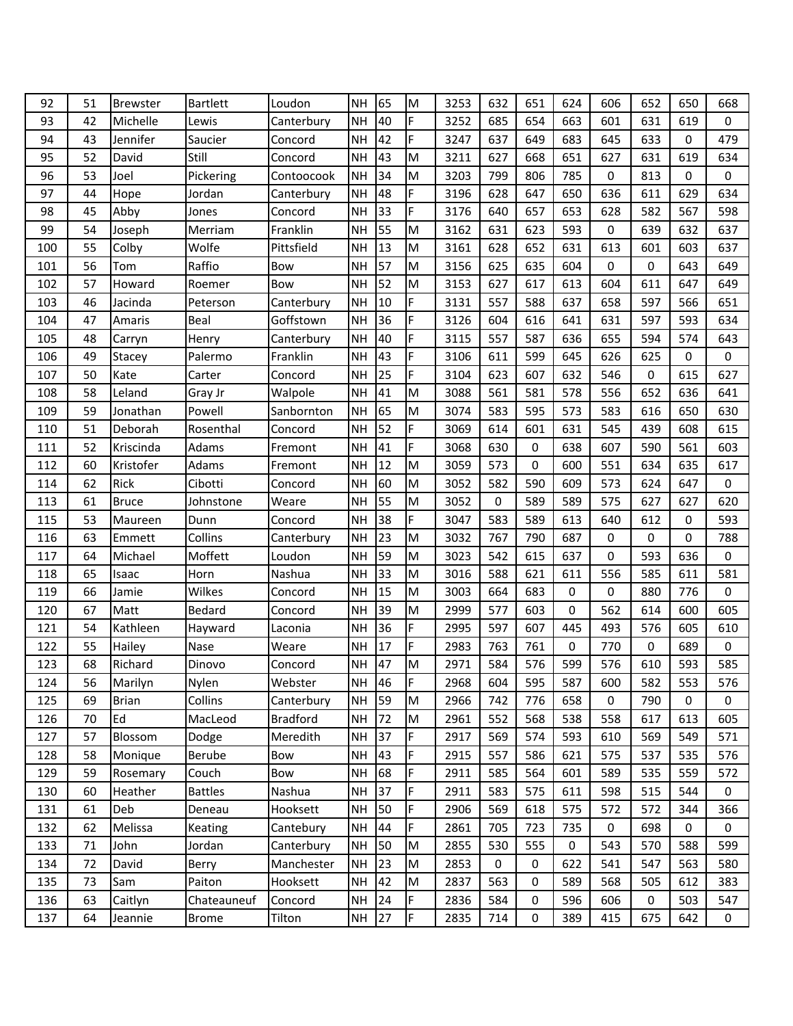| 92  | 51 | <b>Brewster</b> | <b>Bartlett</b> | Loudon          | <b>NH</b> | 65 | M         | 3253 | 632       | 651 | 624              | 606 | 652 | 650 | 668         |
|-----|----|-----------------|-----------------|-----------------|-----------|----|-----------|------|-----------|-----|------------------|-----|-----|-----|-------------|
| 93  | 42 | Michelle        | Lewis           | Canterbury      | <b>NH</b> | 40 | F.        | 3252 | 685       | 654 | 663              | 601 | 631 | 619 | $\mathbf 0$ |
| 94  | 43 | Jennifer        | Saucier         | Concord         | <b>NH</b> | 42 | F         | 3247 | 637       | 649 | 683              | 645 | 633 | 0   | 479         |
| 95  | 52 | David           | Still           | Concord         | <b>NH</b> | 43 | M         | 3211 | 627       | 668 | 651              | 627 | 631 | 619 | 634         |
| 96  | 53 | Joel            | Pickering       | Contoocook      | <b>NH</b> | 34 | M         | 3203 | 799       | 806 | 785              | 0   | 813 | 0   | $\mathbf 0$ |
| 97  | 44 | Hope            | Jordan          | Canterbury      | <b>NH</b> | 48 | F         | 3196 | 628       | 647 | 650              | 636 | 611 | 629 | 634         |
| 98  | 45 | Abby            | Jones           | Concord         | <b>NH</b> | 33 | F         | 3176 | 640       | 657 | 653              | 628 | 582 | 567 | 598         |
| 99  | 54 | Joseph          | Merriam         | Franklin        | <b>NH</b> | 55 | M         | 3162 | 631       | 623 | 593              | 0   | 639 | 632 | 637         |
| 100 | 55 | Colby           | Wolfe           | Pittsfield      | <b>NH</b> | 13 | M         | 3161 | 628       | 652 | 631              | 613 | 601 | 603 | 637         |
| 101 | 56 | Tom             | Raffio          | Bow             | <b>NH</b> | 57 | M         | 3156 | 625       | 635 | 604              | 0   | 0   | 643 | 649         |
| 102 | 57 | Howard          | Roemer          | Bow             | <b>NH</b> | 52 | M         | 3153 | 627       | 617 | 613              | 604 | 611 | 647 | 649         |
| 103 | 46 | Jacinda         | Peterson        | Canterbury      | <b>NH</b> | 10 | F         | 3131 | 557       | 588 | 637              | 658 | 597 | 566 | 651         |
| 104 | 47 | Amaris          | Beal            | Goffstown       | <b>NH</b> | 36 | F         | 3126 | 604       | 616 | 641              | 631 | 597 | 593 | 634         |
| 105 | 48 | Carryn          | Henry           | Canterbury      | <b>NH</b> | 40 | F.        | 3115 | 557       | 587 | 636              | 655 | 594 | 574 | 643         |
| 106 | 49 | Stacey          | Palermo         | Franklin        | <b>NH</b> | 43 | F         | 3106 | 611       | 599 | 645              | 626 | 625 | 0   | 0           |
| 107 | 50 | Kate            | Carter          | Concord         | NH        | 25 | F         | 3104 | 623       | 607 | 632              | 546 | 0   | 615 | 627         |
| 108 | 58 | Leland          | Gray Jr         | Walpole         | NΗ        | 41 | M         | 3088 | 561       | 581 | 578              | 556 | 652 | 636 | 641         |
| 109 | 59 | Jonathan        | Powell          | Sanbornton      | <b>NH</b> | 65 | M         | 3074 | 583       | 595 | 573              | 583 | 616 | 650 | 630         |
| 110 | 51 | Deborah         | Rosenthal       | Concord         | <b>NH</b> | 52 | F         | 3069 | 614       | 601 | 631              | 545 | 439 | 608 | 615         |
| 111 | 52 | Kriscinda       | Adams           | Fremont         | NΗ        | 41 | F.        | 3068 | 630       | 0   | 638              | 607 | 590 | 561 | 603         |
| 112 | 60 | Kristofer       | Adams           | Fremont         | NΗ        | 12 | M         | 3059 | 573       | 0   | 600              | 551 | 634 | 635 | 617         |
| 114 | 62 | Rick            | Cibotti         | Concord         | <b>NH</b> | 60 | M         | 3052 | 582       | 590 | 609              | 573 | 624 | 647 | $\mathbf 0$ |
| 113 | 61 | <b>Bruce</b>    | Johnstone       | Weare           | <b>NH</b> | 55 | M         | 3052 | $\pmb{0}$ | 589 | 589              | 575 | 627 | 627 | 620         |
| 115 | 53 | Maureen         | Dunn            | Concord         | <b>NH</b> | 38 | F         | 3047 | 583       | 589 | 613              | 640 | 612 | 0   | 593         |
| 116 | 63 | Emmett          | Collins         | Canterbury      | <b>NH</b> | 23 | M         | 3032 | 767       | 790 | 687              | 0   | 0   | 0   | 788         |
| 117 | 64 | Michael         | Moffett         | Loudon          | <b>NH</b> | 59 | M         | 3023 | 542       | 615 | 637              | 0   | 593 | 636 | $\mathbf 0$ |
| 118 | 65 | Isaac           | Horn            | Nashua          | <b>NH</b> | 33 | M         | 3016 | 588       | 621 | 611              | 556 | 585 | 611 | 581         |
| 119 | 66 | Jamie           | Wilkes          | Concord         | <b>NH</b> | 15 | M         | 3003 | 664       | 683 | 0                | 0   | 880 | 776 | $\mathbf 0$ |
| 120 | 67 | Matt            | Bedard          | Concord         | <b>NH</b> | 39 | M         | 2999 | 577       | 603 | 0                | 562 | 614 | 600 | 605         |
| 121 | 54 | Kathleen        | Hayward         | Laconia         | <b>NH</b> | 36 | F         | 2995 | 597       | 607 | 445              | 493 | 576 | 605 | 610         |
| 122 | 55 | Hailey          | Nase            | Weare           | <b>NH</b> | 17 | F         | 2983 | 763       | 761 | 0                | 770 | 0   | 689 | 0           |
| 123 | 68 | Richard         | Dinovo          | Concord         | <b>NH</b> | 47 | M         | 2971 | 584       | 576 | 599              | 576 | 610 | 593 | 585         |
| 124 | 56 | Marilyn         | Nylen           | Webster         | <b>NH</b> | 46 | F         | 2968 | 604       | 595 | 587              | 600 | 582 | 553 | 576         |
| 125 | 69 | <b>Brian</b>    | Collins         | Canterbury      | <b>NH</b> | 59 | M         | 2966 | 742       | 776 | 658              | 0   | 790 | 0   | 0           |
| 126 | 70 | Ed              | MacLeod         | <b>Bradford</b> | NH        | 72 | ${\sf M}$ | 2961 | 552       | 568 | 538              | 558 | 617 | 613 | 605         |
| 127 | 57 | Blossom         | Dodge           | Meredith        | NΗ        | 37 | F         | 2917 | 569       | 574 | 593              | 610 | 569 | 549 | 571         |
| 128 | 58 | Monique         | Berube          | Bow             | NΗ        | 43 | F         | 2915 | 557       | 586 | 621              | 575 | 537 | 535 | 576         |
| 129 | 59 | Rosemary        | Couch           | Bow             | NH        | 68 | F.        | 2911 | 585       | 564 | 601              | 589 | 535 | 559 | 572         |
| 130 | 60 | Heather         | <b>Battles</b>  | Nashua          | NH        | 37 | F         | 2911 | 583       | 575 | 611              | 598 | 515 | 544 | 0           |
| 131 | 61 | Deb             | Deneau          | Hooksett        | <b>NH</b> | 50 | F         | 2906 | 569       | 618 | 575              | 572 | 572 | 344 | 366         |
| 132 | 62 | Melissa         | Keating         | Cantebury       | <b>NH</b> | 44 | F         | 2861 | 705       | 723 | 735              | 0   | 698 | 0   | 0           |
| 133 | 71 | John            | Jordan          | Canterbury      | <b>NH</b> | 50 | M         | 2855 | 530       | 555 | $\boldsymbol{0}$ | 543 | 570 | 588 | 599         |
| 134 | 72 | David           | Berry           | Manchester      | <b>NH</b> | 23 | M         | 2853 | 0         | 0   | 622              | 541 | 547 | 563 | 580         |
| 135 | 73 | Sam             | Paiton          | Hooksett        | <b>NH</b> | 42 | M         | 2837 | 563       | 0   | 589              | 568 | 505 | 612 | 383         |
| 136 | 63 | Caitlyn         | Chateauneuf     | Concord         | NH        | 24 | F         | 2836 | 584       | 0   | 596              | 606 | 0   | 503 | 547         |
| 137 | 64 | Jeannie         | <b>Brome</b>    | Tilton          | NH        | 27 | F         | 2835 | 714       | 0   | 389              | 415 | 675 | 642 | 0           |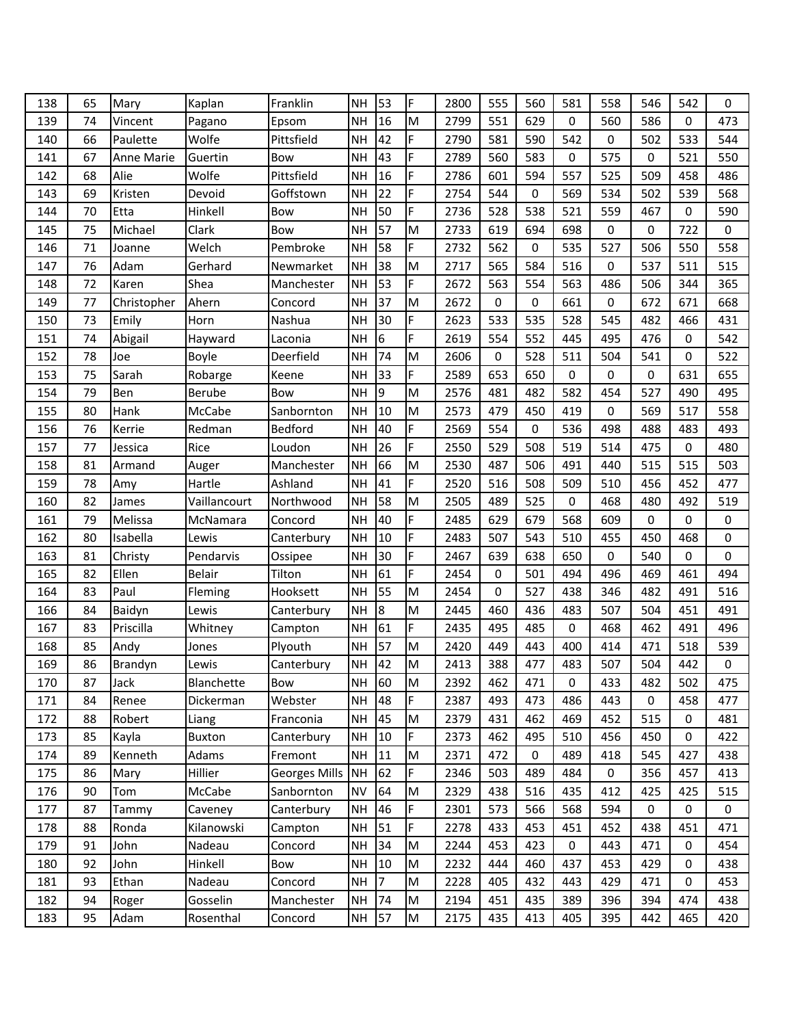| 138 | 65 | Mary        | Kaplan        | Franklin             | <b>NH</b> | 53             | F         | 2800 | 555 | 560 | 581              | 558 | 546 | 542 | $\mathbf 0$ |
|-----|----|-------------|---------------|----------------------|-----------|----------------|-----------|------|-----|-----|------------------|-----|-----|-----|-------------|
| 139 | 74 | Vincent     | Pagano        | Epsom                | NΗ        | 16             | M         | 2799 | 551 | 629 | 0                | 560 | 586 | 0   | 473         |
| 140 | 66 | Paulette    | Wolfe         | Pittsfield           | <b>NH</b> | 42             | F         | 2790 | 581 | 590 | 542              | 0   | 502 | 533 | 544         |
| 141 | 67 | Anne Marie  | Guertin       | Bow                  | <b>NH</b> | 43             | F         | 2789 | 560 | 583 | 0                | 575 | 0   | 521 | 550         |
| 142 | 68 | Alie        | Wolfe         | Pittsfield           | <b>NH</b> | 16             | F.        | 2786 | 601 | 594 | 557              | 525 | 509 | 458 | 486         |
| 143 | 69 | Kristen     | Devoid        | Goffstown            | <b>NH</b> | 22             | F         | 2754 | 544 | 0   | 569              | 534 | 502 | 539 | 568         |
| 144 | 70 | Etta        | Hinkell       | Bow                  | <b>NH</b> | 50             | F         | 2736 | 528 | 538 | 521              | 559 | 467 | 0   | 590         |
| 145 | 75 | Michael     | Clark         | Bow                  | <b>NH</b> | 57             | M         | 2733 | 619 | 694 | 698              | 0   | 0   | 722 | $\mathbf 0$ |
| 146 | 71 | Joanne      | Welch         | Pembroke             | <b>NH</b> | 58             | F         | 2732 | 562 | 0   | 535              | 527 | 506 | 550 | 558         |
| 147 | 76 | Adam        | Gerhard       | Newmarket            | <b>NH</b> | 38             | M         | 2717 | 565 | 584 | 516              | 0   | 537 | 511 | 515         |
| 148 | 72 | Karen       | Shea          | Manchester           | <b>NH</b> | 53             | F.        | 2672 | 563 | 554 | 563              | 486 | 506 | 344 | 365         |
| 149 | 77 | Christopher | Ahern         | Concord              | <b>NH</b> | 37             | M         | 2672 | 0   | 0   | 661              | 0   | 672 | 671 | 668         |
| 150 | 73 | Emily       | Horn          | Nashua               | <b>NH</b> | 30             | F         | 2623 | 533 | 535 | 528              | 545 | 482 | 466 | 431         |
| 151 | 74 | Abigail     | Hayward       | Laconia              | <b>NH</b> | 6              | F.        | 2619 | 554 | 552 | 445              | 495 | 476 | 0   | 542         |
| 152 | 78 | Joe         | Boyle         | Deerfield            | <b>NH</b> | 74             | M         | 2606 | 0   | 528 | 511              | 504 | 541 | 0   | 522         |
| 153 | 75 | Sarah       | Robarge       | Keene                | <b>NH</b> | 33             | F         | 2589 | 653 | 650 | 0                | 0   | 0   | 631 | 655         |
| 154 | 79 | Ben         | Berube        | Bow                  | <b>NH</b> | 9              | M         | 2576 | 481 | 482 | 582              | 454 | 527 | 490 | 495         |
| 155 | 80 | Hank        | McCabe        | Sanbornton           | <b>NH</b> | 10             | M         | 2573 | 479 | 450 | 419              | 0   | 569 | 517 | 558         |
| 156 | 76 | Kerrie      | Redman        | Bedford              | <b>NH</b> | 40             | F         | 2569 | 554 | 0   | 536              | 498 | 488 | 483 | 493         |
| 157 | 77 | Jessica     | Rice          | Loudon               | <b>NH</b> | 26             | F         | 2550 | 529 | 508 | 519              | 514 | 475 | 0   | 480         |
| 158 | 81 | Armand      | Auger         | Manchester           | <b>NH</b> | 66             | M         | 2530 | 487 | 506 | 491              | 440 | 515 | 515 | 503         |
| 159 | 78 | Amy         | Hartle        | Ashland              | <b>NH</b> | 41             | F         | 2520 | 516 | 508 | 509              | 510 | 456 | 452 | 477         |
| 160 | 82 | James       | Vaillancourt  | Northwood            | <b>NH</b> | 58             | M         | 2505 | 489 | 525 | 0                | 468 | 480 | 492 | 519         |
| 161 | 79 | Melissa     | McNamara      | Concord              | <b>NH</b> | 40             | F         | 2485 | 629 | 679 | 568              | 609 | 0   | 0   | 0           |
| 162 | 80 | Isabella    | Lewis         | Canterbury           | <b>NH</b> | 10             | F         | 2483 | 507 | 543 | 510              | 455 | 450 | 468 | 0           |
| 163 | 81 | Christy     | Pendarvis     | Ossipee              | <b>NH</b> | 30             | F         | 2467 | 639 | 638 | 650              | 0   | 540 | 0   | $\mathbf 0$ |
| 165 | 82 | Ellen       | <b>Belair</b> | Tilton               | <b>NH</b> | 61             | F         | 2454 | 0   | 501 | 494              | 496 | 469 | 461 | 494         |
| 164 | 83 | Paul        | Fleming       | Hooksett             | <b>NH</b> | 55             | M         | 2454 | 0   | 527 | 438              | 346 | 482 | 491 | 516         |
| 166 | 84 | Baidyn      | Lewis         | Canterbury           | <b>NH</b> | $\overline{8}$ | M         | 2445 | 460 | 436 | 483              | 507 | 504 | 451 | 491         |
| 167 | 83 | Priscilla   | Whitney       | Campton              | <b>NH</b> | 61             | F         | 2435 | 495 | 485 | 0                | 468 | 462 | 491 | 496         |
| 168 | 85 | Andy        | Jones         | Plyouth              | <b>NH</b> | 57             | M         | 2420 | 449 | 443 | 400              | 414 | 471 | 518 | 539         |
| 169 | 86 | Brandyn     | Lewis         | Canterbury           | <b>NH</b> | 42             | M         | 2413 | 388 | 477 | 483              | 507 | 504 | 442 | $\mathbf 0$ |
| 170 | 87 | Jack        | Blanchette    | Bow                  | <b>NH</b> | 60             | ${\sf M}$ | 2392 | 462 | 471 | 0                | 433 | 482 | 502 | 475         |
| 171 | 84 | Renee       | Dickerman     | Webster              | NΗ        | 48             | F         | 2387 | 493 | 473 | 486              | 443 | 0   | 458 | 477         |
| 172 | 88 | Robert      | Liang         | Franconia            | NH        | 45             | M         | 2379 | 431 | 462 | 469              | 452 | 515 | 0   | 481         |
| 173 | 85 | Kayla       | Buxton        | Canterbury           | <b>NH</b> | 10             | F         | 2373 | 462 | 495 | 510              | 456 | 450 | 0   | 422         |
| 174 | 89 | Kenneth     | Adams         | Fremont              | NΗ        | 11             | M         | 2371 | 472 | 0   | 489              | 418 | 545 | 427 | 438         |
| 175 | 86 | Mary        | Hillier       | <b>Georges Mills</b> | NH        | 62             | F         | 2346 | 503 | 489 | 484              | 0   | 356 | 457 | 413         |
| 176 | 90 | Tom         | McCabe        | Sanbornton           | <b>NV</b> | 64             | M         | 2329 | 438 | 516 | 435              | 412 | 425 | 425 | 515         |
| 177 | 87 | Tammy       | Caveney       | Canterbury           | <b>NH</b> | 46             | F         | 2301 | 573 | 566 | 568              | 594 | 0   | 0   | 0           |
| 178 | 88 | Ronda       | Kilanowski    | Campton              | <b>NH</b> | 51             | F         | 2278 | 433 | 453 | 451              | 452 | 438 | 451 | 471         |
| 179 | 91 | John        | Nadeau        | Concord              | NΗ        | 34             | M         | 2244 | 453 | 423 | $\boldsymbol{0}$ | 443 | 471 | 0   | 454         |
| 180 | 92 | John        | Hinkell       | Bow                  | <b>NH</b> | 10             | M         | 2232 | 444 | 460 | 437              | 453 | 429 | 0   | 438         |
| 181 | 93 | Ethan       | Nadeau        | Concord              | <b>NH</b> | 7              | M         | 2228 | 405 | 432 | 443              | 429 | 471 | 0   | 453         |
| 182 | 94 | Roger       | Gosselin      | Manchester           | NH        | 74             | ${\sf M}$ | 2194 | 451 | 435 | 389              | 396 | 394 | 474 | 438         |
| 183 | 95 | Adam        | Rosenthal     | Concord              | NH        | 57             | M         | 2175 | 435 | 413 | 405              | 395 | 442 | 465 | 420         |